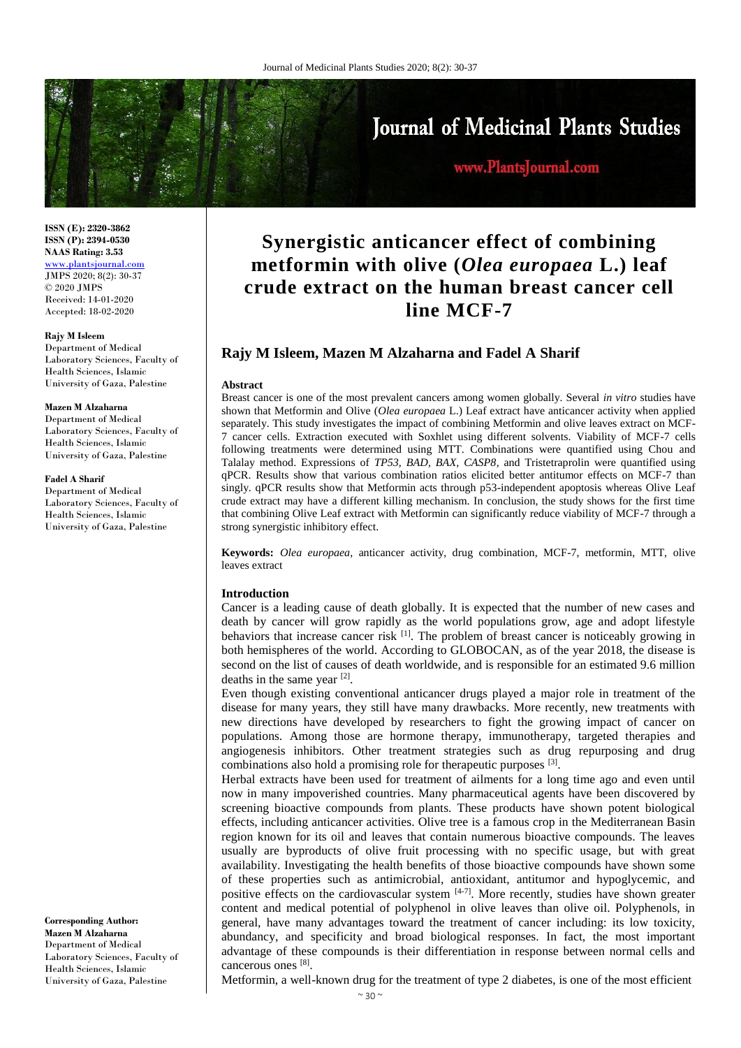

# www.PlantsJournal.com

**ISSN (E): 2320-3862 ISSN (P): 2394-0530 NAAS Rating: 3.53** <www.plantsjournal.com>

JMPS 2020; 8(2): 30-37 © 2020 JMPS Received: 14-01-2020 Accepted: 18-02-2020

#### **Rajy M Isleem**

Department of Medical Laboratory Sciences, Faculty of Health Sciences, Islamic University of Gaza, Palestine

#### **Mazen M Alzaharna**

Department of Medical Laboratory Sciences, Faculty of Health Sciences, Islamic University of Gaza, Palestine

#### **Fadel A Sharif**

Department of Medical Laboratory Sciences, Faculty of Health Sciences, Islamic University of Gaza, Palestine

**Corresponding Author: Mazen M Alzaharna** Department of Medical Laboratory Sciences, Faculty of Health Sciences, Islamic University of Gaza, Palestine

# **Synergistic anticancer effect of combining metformin with olive (***Olea europaea* **L.) leaf crude extract on the human breast cancer cell line MCF-7**

# **Rajy M Isleem, Mazen M Alzaharna and Fadel A Sharif**

#### **Abstract**

Breast cancer is one of the most prevalent cancers among women globally. Several *in vitro* studies have shown that Metformin and Olive (*Olea europaea* L.) Leaf extract have anticancer activity when applied separately. This study investigates the impact of combining Metformin and olive leaves extract on MCF-7 cancer cells. Extraction executed with Soxhlet using different solvents. Viability of MCF-7 cells following treatments were determined using MTT. Combinations were quantified using Chou and Talalay method. Expressions of *TP53, BAD, BAX, CASP8*, and Tristetraprolin were quantified using qPCR. Results show that various combination ratios elicited better antitumor effects on MCF-7 than singly. qPCR results show that Metformin acts through p53-independent apoptosis whereas Olive Leaf crude extract may have a different killing mechanism. In conclusion, the study shows for the first time that combining Olive Leaf extract with Metformin can significantly reduce viability of MCF-7 through a strong synergistic inhibitory effect.

**Keywords:** *Olea europaea*, anticancer activity, drug combination, MCF-7, metformin, MTT, olive leaves extract

#### **Introduction**

Cancer is a leading cause of death globally. It is expected that the number of new cases and death by cancer will grow rapidly as the world populations grow, age and adopt lifestyle behaviors that increase cancer risk <sup>[1]</sup>. The problem of breast cancer is noticeably growing in both hemispheres of the world. According to GLOBOCAN, as of the year 2018, the disease is second on the list of causes of death worldwide, and is responsible for an estimated 9.6 million deaths in the same year [2] .

Even though existing conventional anticancer drugs played a major role in treatment of the disease for many years, they still have many drawbacks. More recently, new treatments with new directions have developed by researchers to fight the growing impact of cancer on populations. Among those are hormone therapy, immunotherapy, targeted therapies and angiogenesis inhibitors. Other treatment strategies such as drug repurposing and drug combinations also hold a promising role for therapeutic purposes <sup>[3]</sup>.

Herbal extracts have been used for treatment of ailments for a long time ago and even until now in many impoverished countries. Many pharmaceutical agents have been discovered by screening bioactive compounds from plants. These products have shown potent biological effects, including anticancer activities. Olive tree is a famous crop in the Mediterranean Basin region known for its oil and leaves that contain numerous bioactive compounds. The leaves usually are byproducts of olive fruit processing with no specific usage, but with great availability. Investigating the health benefits of those bioactive compounds have shown some of these properties such as antimicrobial, antioxidant, antitumor and hypoglycemic, and positive effects on the cardiovascular system  $[4-7]$ . More recently, studies have shown greater content and medical potential of polyphenol in olive leaves than olive oil. Polyphenols, in general, have many advantages toward the treatment of cancer including: its low toxicity, abundancy, and specificity and broad biological responses. In fact, the most important advantage of these compounds is their differentiation in response between normal cells and cancerous ones [8].

Metformin, a well-known drug for the treatment of type 2 diabetes, is one of the most efficient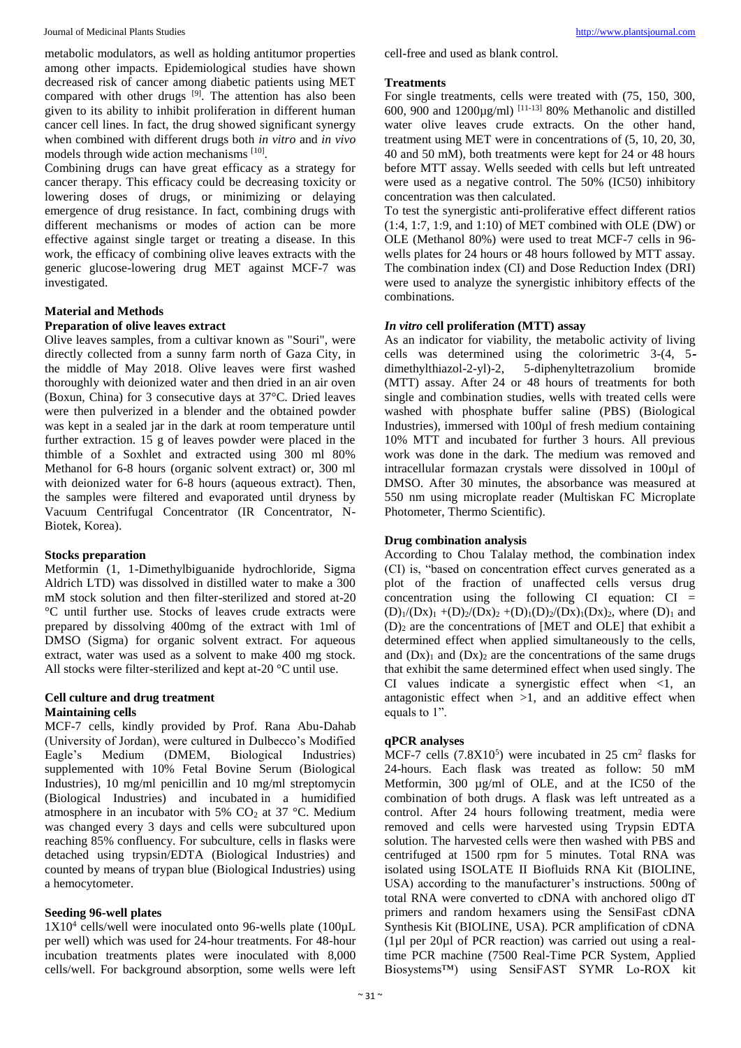Journal of Medicinal Plants Studies [http://www.plantsjournal.com](http://www.plantsjournal.com/)

metabolic modulators, as well as holding antitumor properties among other impacts. Epidemiological studies have shown decreased risk of cancer among diabetic patients using MET compared with other drugs [9]. The attention has also been given to its ability to inhibit proliferation in different human cancer cell lines. In fact, the drug showed significant synergy when combined with different drugs both *in vitro* and *in vivo* models through wide action mechanisms [10].

Combining drugs can have great efficacy as a strategy for cancer therapy. This efficacy could be decreasing toxicity or lowering doses of drugs, or minimizing or delaying emergence of drug resistance. In fact, combining drugs with different mechanisms or modes of action can be more effective against single target or treating a disease. In this work, the efficacy of combining olive leaves extracts with the generic glucose-lowering drug MET against MCF-7 was investigated.

# **Material and Methods**

#### **Preparation of olive leaves extract**

Olive leaves samples, from a cultivar known as "Souri", were directly collected from a sunny farm north of Gaza City, in the middle of May 2018. Olive leaves were first washed thoroughly with deionized water and then dried in an air oven (Boxun, China) for 3 consecutive days at 37°C. Dried leaves were then pulverized in a blender and the obtained powder was kept in a sealed jar in the dark at room temperature until further extraction. 15 g of leaves powder were placed in the thimble of a Soxhlet and extracted using 300 ml 80% Methanol for 6-8 hours (organic solvent extract) or, 300 ml with deionized water for 6-8 hours (aqueous extract). Then, the samples were filtered and evaporated until dryness by Vacuum Centrifugal Concentrator (IR Concentrator, N-Biotek, Korea).

# **Stocks preparation**

Metformin (1, 1-Dimethylbiguanide hydrochloride, Sigma Aldrich LTD) was dissolved in distilled water to make a 300 mM stock solution and then filter-sterilized and stored at-20 °C until further use. Stocks of leaves crude extracts were prepared by dissolving 400mg of the extract with 1ml of DMSO (Sigma) for organic solvent extract. For aqueous extract, water was used as a solvent to make 400 mg stock. All stocks were filter-sterilized and kept at-20 °C until use.

# **Cell culture and drug treatment Maintaining cells**

MCF-7 cells, kindly provided by Prof. Rana Abu-Dahab (University of Jordan), were cultured in Dulbecco's Modified Eagle's Medium (DMEM, Biological Industries) supplemented with 10% Fetal Bovine Serum (Biological Industries), 10 mg/ml penicillin and 10 mg/ml streptomycin (Biological Industries) and incubated in a humidified atmosphere in an incubator with 5%  $CO<sub>2</sub>$  at 37 °C. Medium was changed every 3 days and cells were subcultured upon reaching 85% confluency. For subculture, cells in flasks were detached using trypsin/EDTA (Biological Industries) and counted by means of trypan blue (Biological Industries) using a hemocytometer.

# **Seeding 96-well plates**

1X10<sup>4</sup> cells/well were inoculated onto 96-wells plate (100µL per well) which was used for 24-hour treatments. For 48-hour incubation treatments plates were inoculated with 8,000 cells/well. For background absorption, some wells were left

cell-free and used as blank control.

#### **Treatments**

For single treatments, cells were treated with (75, 150, 300, 600, 900 and 1200 $\mu$ g/ml) <sup>[11-13]</sup> 80% Methanolic and distilled water olive leaves crude extracts. On the other hand, treatment using MET were in concentrations of (5, 10, 20, 30, 40 and 50 mM), both treatments were kept for 24 or 48 hours before MTT assay. Wells seeded with cells but left untreated were used as a negative control. The 50% (IC50) inhibitory concentration was then calculated.

To test the synergistic anti-proliferative effect different ratios (1:4, 1:7, 1:9, and 1:10) of MET combined with OLE (DW) or OLE (Methanol 80%) were used to treat MCF-7 cells in 96 wells plates for 24 hours or 48 hours followed by MTT assay. The combination index (CI) and Dose Reduction Index (DRI) were used to analyze the synergistic inhibitory effects of the combinations.

#### *In vitro* **cell proliferation (MTT) assay**

As an indicator for viability, the metabolic activity of living cells was determined using the colorimetric 3-(4, 5 dimethylthiazol-2-yl)-2, 5-diphenyltetrazolium bromide (MTT) assay. After 24 or 48 hours of treatments for both single and combination studies, wells with treated cells were washed with phosphate buffer saline (PBS) (Biological Industries), immersed with 100µl of fresh medium containing 10% MTT and incubated for further 3 hours. All previous work was done in the dark. The medium was removed and intracellular formazan crystals were dissolved in 100µl of DMSO. After 30 minutes, the absorbance was measured at 550 nm using microplate reader (Multiskan FC Microplate Photometer, Thermo Scientific).

# **Drug combination analysis**

According to Chou Talalay method, the combination index (CI) is, "based on concentration effect curves generated as a plot of the fraction of unaffected cells versus drug concentration using the following  $CI$  equation:  $CI =$  $(D)_1/(Dx)_1 + (D)_2/(Dx)_2 + (D)_1(D)_2/(Dx)_1(Dx)_2$ , where  $(D)_1$  and  $(D)_2$  are the concentrations of [MET and OLE] that exhibit a determined effect when applied simultaneously to the cells, and  $(Dx)_1$  and  $(Dx)_2$  are the concentrations of the same drugs that exhibit the same determined effect when used singly. The CI values indicate a synergistic effect when  $\langle 1, \text{ an} \rangle$ antagonistic effect when  $>1$ , and an additive effect when equals to 1".

# **qPCR analyses**

MCF-7 cells  $(7.8X10^5)$  were incubated in 25 cm<sup>2</sup> flasks for 24-hours. Each flask was treated as follow: 50 mM Metformin, 300 µg/ml of OLE, and at the IC50 of the combination of both drugs. A flask was left untreated as a control. After 24 hours following treatment, media were removed and cells were harvested using Trypsin EDTA solution. The harvested cells were then washed with PBS and centrifuged at 1500 rpm for 5 minutes. Total RNA was isolated using ISOLATE II Biofluids RNA Kit (BIOLINE, USA) according to the manufacturer's instructions. 500ng of total RNA were converted to cDNA with anchored oligo dT primers and random hexamers using the SensiFast cDNA Synthesis Kit (BIOLINE, USA). PCR amplification of cDNA (1µl per 20µl of PCR reaction) was carried out using a realtime PCR machine (7500 Real-Time PCR System, Applied Biosystems™) using SensiFAST SYMR Lo-ROX kit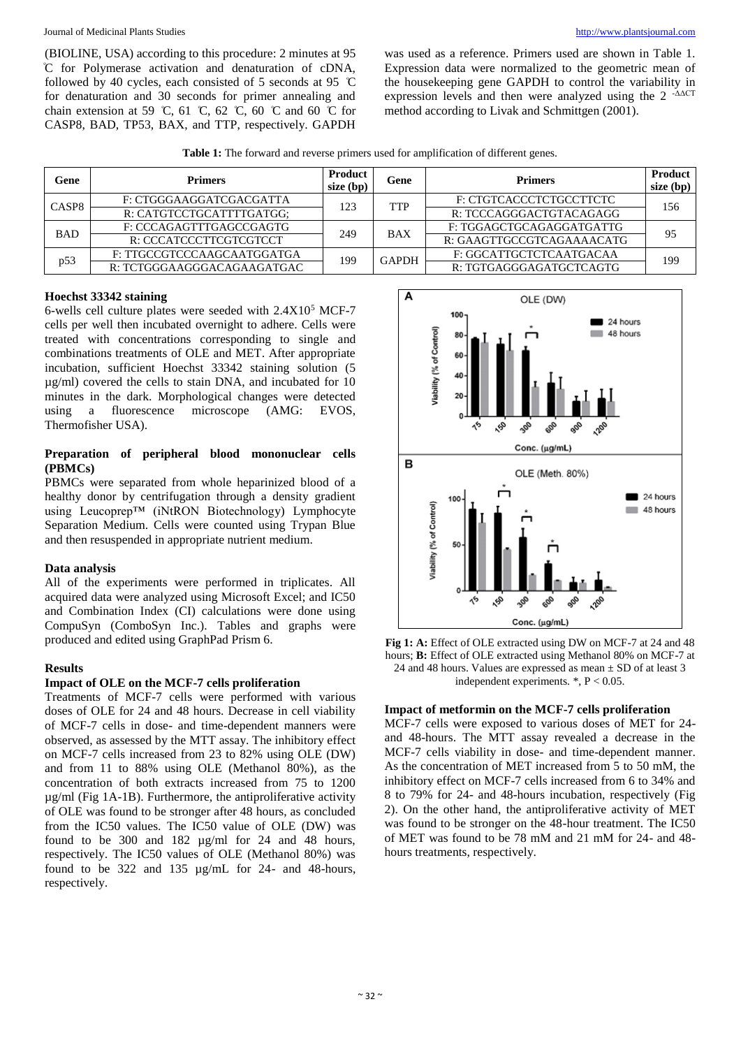Journal of Medicinal Plants Studies [http://www.plantsjournal.com](http://www.plantsjournal.com/)

(BIOLINE, USA) according to this procedure: 2 minutes at 95 ͦC for Polymerase activation and denaturation of cDNA, followed by 40 cycles, each consisted of 5 seconds at 95  $\degree$ C for denaturation and 30 seconds for primer annealing and chain extension at 59 °C, 61 °C, 62 °C, 60 °C and 60 °C for CASP8, BAD, TP53, BAX, and TTP, respectively. GAPDH

was used as a reference. Primers used are shown in Table 1. Expression data were normalized to the geometric mean of the housekeeping gene GAPDH to control the variability in expression levels and then were analyzed using the 2 -ΔΔCT method according to Livak and Schmittgen (2001).

**Table 1:** The forward and reverse primers used for amplification of different genes.

| Gene              | <b>Primers</b>             | Product<br>$size$ (bp) | Gene         | <b>Primers</b>            | <b>Product</b><br>size (bp) |
|-------------------|----------------------------|------------------------|--------------|---------------------------|-----------------------------|
| CASP <sub>8</sub> | F: CTGGGAAGGATCGACGATTA    | 123                    | TTP          | F: CTGTCACCCTCTGCCTTCTC   | 156                         |
|                   | R: CATGTCCTGCATTTTGATGG;   |                        |              | R: TCCCAGGGACTGTACAGAGG   |                             |
| <b>BAD</b>        | F: CCCAGAGTTTGAGCCGAGTG    | 249                    | <b>BAX</b>   | F: TGGAGCTGCAGAGGATGATTG  | 95                          |
|                   | R: CCCATCCCTTCGTCGTCCT     |                        |              | R: GAAGTTGCCGTCAGAAAACATG |                             |
| p53               | F: TTGCCGTCCCAAGCAATGGATGA | 199                    | <b>GAPDH</b> | F: GGCATTGCTCTCAATGACAA   | 199                         |
|                   | R: TCTGGGAAGGGACAGAAGATGAC |                        |              | R: TGTGAGGGAGATGCTCAGTG   |                             |

# **Hoechst 33342 staining**

6-wells cell culture plates were seeded with  $2.4X10<sup>5</sup>$  MCF-7 cells per well then incubated overnight to adhere. Cells were treated with concentrations corresponding to single and combinations treatments of OLE and MET. After appropriate incubation, sufficient Hoechst 33342 staining solution (5 µg/ml) covered the cells to stain DNA, and incubated for 10 minutes in the dark. Morphological changes were detected using a fluorescence microscope (AMG: EVOS, Thermofisher USA).

# **Preparation of peripheral blood mononuclear cells (PBMCs)**

PBMCs were separated from whole heparinized blood of a healthy donor by centrifugation through a density gradient using Leucoprep™ (iNtRON Biotechnology) Lymphocyte Separation Medium. Cells were counted using Trypan Blue and then resuspended in appropriate nutrient medium.

# **Data analysis**

All of the experiments were performed in triplicates. All acquired data were analyzed using Microsoft Excel; and IC50 and Combination Index (CI) calculations were done using CompuSyn (ComboSyn Inc.). Tables and graphs were produced and edited using GraphPad Prism 6.

# **Results**

# **Impact of OLE on the MCF-7 cells proliferation**

Treatments of MCF-7 cells were performed with various doses of OLE for 24 and 48 hours. Decrease in cell viability of MCF-7 cells in dose- and time-dependent manners were observed, as assessed by the MTT assay. The inhibitory effect on MCF-7 cells increased from 23 to 82% using OLE (DW) and from 11 to 88% using OLE (Methanol 80%), as the concentration of both extracts increased from 75 to 1200 µg/ml (Fig 1A-1B). Furthermore, the antiproliferative activity of OLE was found to be stronger after 48 hours, as concluded from the IC50 values. The IC50 value of OLE (DW) was found to be 300 and 182 µg/ml for 24 and 48 hours, respectively. The IC50 values of OLE (Methanol 80%) was found to be 322 and 135 µg/mL for 24- and 48-hours, respectively.



**Fig 1: A:** Effect of OLE extracted using DW on MCF-7 at 24 and 48 hours; **B:** Effect of OLE extracted using Methanol 80% on MCF-7 at 24 and 48 hours. Values are expressed as mean ± SD of at least 3 independent experiments. \*, P < 0.05.

# **Impact of metformin on the MCF-7 cells proliferation**

MCF-7 cells were exposed to various doses of MET for 24 and 48-hours. The MTT assay revealed a decrease in the MCF-7 cells viability in dose- and time-dependent manner. As the concentration of MET increased from 5 to 50 mM, the inhibitory effect on MCF-7 cells increased from 6 to 34% and 8 to 79% for 24- and 48-hours incubation, respectively (Fig 2). On the other hand, the antiproliferative activity of MET was found to be stronger on the 48-hour treatment. The IC50 of MET was found to be 78 mM and 21 mM for 24- and 48 hours treatments, respectively.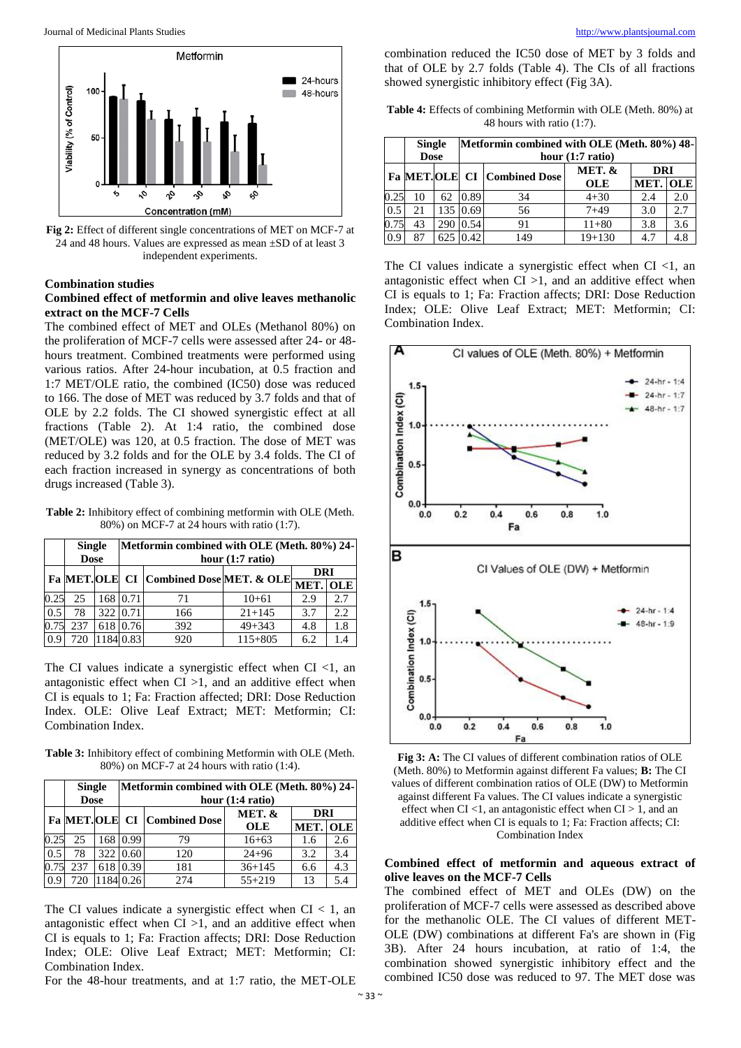

**Fig 2:** Effect of different single concentrations of MET on MCF-7 at 24 and 48 hours. Values are expressed as mean ±SD of at least 3 independent experiments.

#### **Combination studies**

#### **Combined effect of metformin and olive leaves methanolic extract on the MCF-7 Cells**

The combined effect of MET and OLEs (Methanol 80%) on the proliferation of MCF-7 cells were assessed after 24- or 48 hours treatment. Combined treatments were performed using various ratios. After 24-hour incubation, at 0.5 fraction and 1:7 MET/OLE ratio, the combined (IC50) dose was reduced to 166. The dose of MET was reduced by 3.7 folds and that of OLE by 2.2 folds. The CI showed synergistic effect at all fractions (Table 2). At 1:4 ratio, the combined dose (MET/OLE) was 120, at 0.5 fraction. The dose of MET was reduced by 3.2 folds and for the OLE by 3.4 folds. The CI of each fraction increased in synergy as concentrations of both drugs increased (Table 3).

**Table 2:** Inhibitory effect of combining metformin with OLE (Meth. 80%) on MCF-7 at 24 hours with ratio (1:7).

|      | <b>Single</b><br><b>Dose</b> |  |           | Metformin combined with OLE (Meth. 80%) 24-             | hour $(1:7 \text{ ratio})$ |     |      |
|------|------------------------------|--|-----------|---------------------------------------------------------|----------------------------|-----|------|
|      |                              |  |           |                                                         |                            |     |      |
|      |                              |  |           | <b>Fa</b> MET. OLE CI Combined Dose MET. & OLE MET. OLE |                            |     |      |
| 0.25 | 25                           |  | 168 0.71  | 71                                                      | $10+61$                    | 2.9 | 2.7  |
| 0.5  | 78                           |  | 322 0.71  | 166                                                     | $21 + 145$                 | 3.7 | 2.2. |
| 0.75 | 237                          |  | 618 0.76  | 392                                                     | $49 + 343$                 | 4.8 | 1.8  |
| 0.9  | 720                          |  | 1184 0.83 | 920                                                     | $115 + 805$                | 6.2 |      |

The CI values indicate a synergistic effect when CI  $<$ 1, an antagonistic effect when  $CI >1$ , and an additive effect when CI is equals to 1; Fa: Fraction affected; DRI: Dose Reduction Index. OLE: Olive Leaf Extract; MET: Metformin; CI: Combination Index.

**Table 3:** Inhibitory effect of combining Metformin with OLE (Meth. 80%) on MCF-7 at 24 hours with ratio (1:4).

|      | <b>Single</b><br><b>Dose</b> |     |                             | Metformin combined with OLE (Meth. 80%) 24- | hour (1:4 ratio) |                 |     |
|------|------------------------------|-----|-----------------------------|---------------------------------------------|------------------|-----------------|-----|
|      |                              |     | Fa MET.OLE CI Combined Dose |                                             | MET. &           | <b>DRI</b>      |     |
|      |                              |     |                             |                                             | <b>OLE</b>       | <b>MET. OLE</b> |     |
| 0.25 | 25                           |     | 168 0.99                    | 79                                          | $16 + 63$        | 1.6             | 2.6 |
| 0.5  | 78                           |     | 322 0.60                    | 120                                         | $24 + 96$        | 3.2             | 3.4 |
| 0.75 | 237                          | 618 | 0.39                        | 181                                         | $36 + 145$       | 6.6             | 4.3 |
| 0.9  | 720                          |     | 11840.26                    | 274                                         | $55 + 219$       | 13              | 5.4 |

The CI values indicate a synergistic effect when  $CI < 1$ , an antagonistic effect when  $CI >1$ , and an additive effect when CI is equals to 1; Fa: Fraction affects; DRI: Dose Reduction Index; OLE: Olive Leaf Extract; MET: Metformin; CI: Combination Index.

For the 48-hour treatments, and at 1:7 ratio, the MET-OLE

 $~\sim$  33  $\sim$ 

combination reduced the IC50 dose of MET by 3 folds and that of OLE by 2.7 folds (Table 4). The CIs of all fractions showed synergistic inhibitory effect (Fig 3A).

**Table 4:** Effects of combining Metformin with OLE (Meth. 80%) at 48 hours with ratio (1:7).

|      | Metformin combined with OLE (Meth. 80%) 48-<br><b>Single</b><br><b>Dose</b><br>hour $(1:7 \text{ ratio})$ |     |                |                                    |            |                 |     |
|------|-----------------------------------------------------------------------------------------------------------|-----|----------------|------------------------------------|------------|-----------------|-----|
|      |                                                                                                           |     |                | <b>Fa MET.OLE CI Combined Dose</b> | MET. $&$   | <b>DRI</b>      |     |
|      |                                                                                                           |     |                |                                    | <b>OLE</b> | <b>MET. OLE</b> |     |
| 0.25 | 10                                                                                                        | 62  | 0.89           | 34                                 | $4 + 30$   | 2.4             | 2.0 |
| 0.5  | 21                                                                                                        |     | $135 \, 10.69$ | 56                                 | $7 + 49$   | 3.0             | 2.7 |
| 0.75 | 43                                                                                                        |     | 290 0.54       | 91                                 | $11 + 80$  | 3.8             | 3.6 |
| 0.9  | 87                                                                                                        | 625 | 0.42           | 149                                | $19 + 130$ | 4.7             | 4.8 |

The CI values indicate a synergistic effect when CI  $<$ 1, an antagonistic effect when  $CI >1$ , and an additive effect when CI is equals to 1; Fa: Fraction affects; DRI: Dose Reduction Index; OLE: Olive Leaf Extract; MET: Metformin; CI: Combination Index.



**Fig 3: A:** The CI values of different combination ratios of OLE (Meth. 80%) to Metformin against different Fa values; **B:** The CI values of different combination ratios of OLE (DW) to Metformin against different Fa values. The CI values indicate a synergistic effect when CI <1, an antagonistic effect when CI > 1, and an additive effect when CI is equals to 1; Fa: Fraction affects; CI: Combination Index

# **Combined effect of metformin and aqueous extract of olive leaves on the MCF-7 Cells**

The combined effect of MET and OLEs (DW) on the proliferation of MCF-7 cells were assessed as described above for the methanolic OLE. The CI values of different MET-OLE (DW) combinations at different Fa's are shown in (Fig 3B). After 24 hours incubation, at ratio of 1:4, the combination showed synergistic inhibitory effect and the combined IC50 dose was reduced to 97. The MET dose was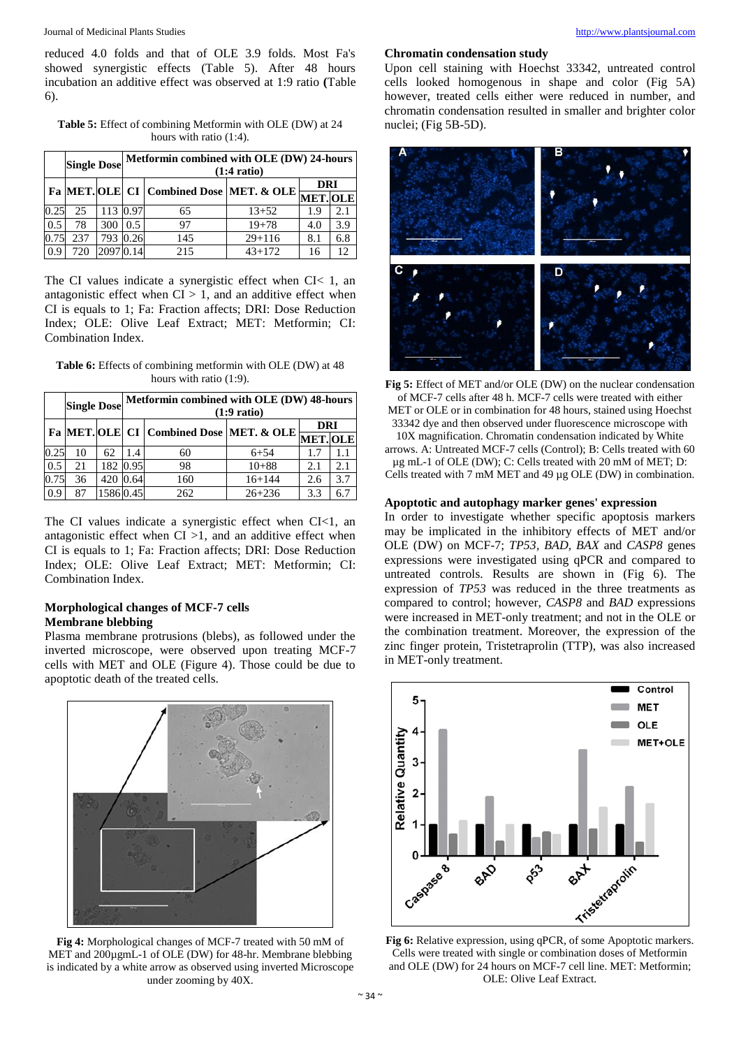reduced 4.0 folds and that of OLE 3.9 folds. Most Fa's showed synergistic effects (Table 5). After 48 hours incubation an additive effect was observed at 1:9 ratio **(**Table 6).

**Table 5:** Effect of combining Metformin with OLE (DW) at 24 hours with ratio (1:4)*.*

|      | <b>Single Dose</b> |           |               | Metformin combined with OLE (DW) 24-hours                                      | $(1:4 \text{ ratio})$ |     |     |
|------|--------------------|-----------|---------------|--------------------------------------------------------------------------------|-----------------------|-----|-----|
|      |                    |           |               | Fa MET. OLE $ {\rm CI}\, $ Combined Dose MET. & OLE $\overline{\rm MET.0LE}\,$ |                       |     |     |
|      |                    |           |               |                                                                                |                       |     |     |
| 0.25 | 25                 | 113 0.97  |               | 65                                                                             | $13 + 52$             | 1.9 | 2.1 |
| 0.5  | 78                 | 300       | $0.5^{\circ}$ | 97                                                                             | $19 + 78$             | 4.0 | 3.9 |
| 0.75 | 237                | 793 0.26  |               | 145                                                                            | $29 + 116$            | 8.1 | 6.8 |
| 0.9  | 720                | 2097 0.14 |               | 215                                                                            | $43 + 172$            | 16  | 12  |

The CI values indicate a synergistic effect when CI< 1, an antagonistic effect when  $CI > 1$ , and an additive effect when CI is equals to 1; Fa: Fraction affects; DRI: Dose Reduction Index; OLE: Olive Leaf Extract; MET: Metformin; CI: Combination Index.

**Table 6:** Effects of combining metformin with OLE (DW) at 48 hours with ratio (1:9).

|      | <b>Single Dose</b> |          |                                                                               | Metformin combined with OLE (DW) 48-hours | $(1:9 \text{ ratio})$ |     |     |
|------|--------------------|----------|-------------------------------------------------------------------------------|-------------------------------------------|-----------------------|-----|-----|
|      |                    |          | $_{\rm I}$ Fa MET. OLE CI Combined Dose MET. & OLE $\frac{24}{\rm MET.[OLE]}$ |                                           |                       |     |     |
|      |                    |          |                                                                               |                                           |                       |     |     |
| 0.25 | 10                 | 62       | 1.4                                                                           | 60                                        | $6 + 54$              | 1.7 |     |
| 0.5  | 21                 |          | 182 0.95                                                                      | 98                                        | $10 + 88$             | 2.1 | 2.1 |
| 0.75 | 36                 | 420      | 0.64                                                                          | 160                                       | $16 + 144$            | 2.6 | 3.7 |
| 0.9  | 87                 | 15860.45 |                                                                               | 262                                       | $26 + 236$            | 3.3 | 6.7 |

The CI values indicate a synergistic effect when CI<1, an antagonistic effect when  $CI >1$ , and an additive effect when CI is equals to 1; Fa: Fraction affects; DRI: Dose Reduction Index; OLE: Olive Leaf Extract; MET: Metformin; CI: Combination Index.

# **Morphological changes of MCF-7 cells Membrane blebbing**

Plasma membrane protrusions (blebs), as followed under the inverted microscope, were observed upon treating MCF-7 cells with MET and OLE (Figure 4). Those could be due to apoptotic death of the treated cells.



**Fig 4:** Morphological changes of MCF-7 treated with 50 mM of MET and 200µgmL-1 of OLE (DW) for 48-hr. Membrane blebbing is indicated by a white arrow as observed using inverted Microscope under zooming by 40X.

#### **Chromatin condensation study**

Upon cell staining with Hoechst 33342, untreated control cells looked homogenous in shape and color (Fig 5A) however, treated cells either were reduced in number, and chromatin condensation resulted in smaller and brighter color nuclei; (Fig 5B-5D).



**Fig 5:** Effect of MET and/or OLE (DW) on the nuclear condensation of MCF-7 cells after 48 h. MCF-7 cells were treated with either MET or OLE or in combination for 48 hours, stained using Hoechst 33342 dye and then observed under fluorescence microscope with 10X magnification. Chromatin condensation indicated by White arrows. A: Untreated MCF-7 cells (Control); B: Cells treated with 60 µg mL-1 of OLE (DW); C: Cells treated with 20 mM of MET; D: Cells treated with 7 mM MET and 49 µg OLE (DW) in combination.

# **Apoptotic and autophagy marker genes' expression**

In order to investigate whether specific apoptosis markers may be implicated in the inhibitory effects of MET and/or OLE (DW) on MCF-7; *TP53, BAD, BAX* and *CASP8* genes expressions were investigated using qPCR and compared to untreated controls. Results are shown in (Fig 6). The expression of *TP53* was reduced in the three treatments as compared to control; however, *CASP8* and *BAD* expressions were increased in MET-only treatment; and not in the OLE or the combination treatment. Moreover, the expression of the zinc finger protein, Tristetraprolin (TTP), was also increased in MET-only treatment.



**Fig 6:** Relative expression, using qPCR, of some Apoptotic markers. Cells were treated with single or combination doses of Metformin and OLE (DW) for 24 hours on MCF-7 cell line. MET: Metformin; OLE: Olive Leaf Extract.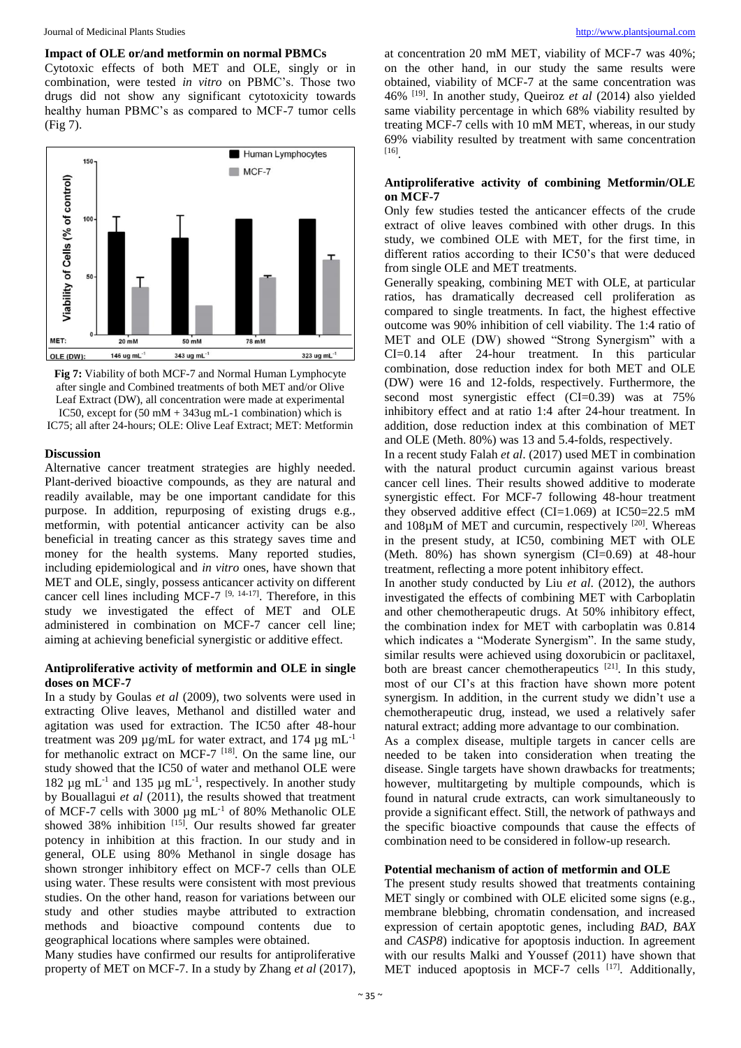#### **Impact of OLE or/and metformin on normal PBMCs**

Cytotoxic effects of both MET and OLE, singly or in combination, were tested *in vitro* on PBMC's. Those two drugs did not show any significant cytotoxicity towards healthy human PBMC's as compared to MCF-7 tumor cells (Fig 7).





#### **Discussion**

Alternative cancer treatment strategies are highly needed. Plant-derived bioactive compounds, as they are natural and readily available, may be one important candidate for this purpose. In addition, repurposing of existing drugs e.g., metformin, with potential anticancer activity can be also beneficial in treating cancer as this strategy saves time and money for the health systems. Many reported studies, including epidemiological and *in vitro* ones, have shown that MET and OLE, singly, possess anticancer activity on different cancer cell lines including MCF-7 [9, 14-17]. Therefore, in this study we investigated the effect of MET and OLE administered in combination on MCF-7 cancer cell line; aiming at achieving beneficial synergistic or additive effect.

#### **Antiproliferative activity of metformin and OLE in single doses on MCF-7**

In a study by Goulas *et al* (2009), two solvents were used in extracting Olive leaves, Methanol and distilled water and agitation was used for extraction. The IC50 after 48-hour treatment was 209  $\mu$ g/mL for water extract, and 174  $\mu$ g mL<sup>-1</sup> for methanolic extract on MCF-7 [18]. On the same line, our study showed that the IC50 of water and methanol OLE were 182  $\mu$ g mL<sup>-1</sup> and 135  $\mu$ g mL<sup>-1</sup>, respectively. In another study by Bouallagui *et al* (2011), the results showed that treatment of MCF-7 cells with 3000 µg mL-1 of 80% Methanolic OLE showed 38% inhibition [15]. Our results showed far greater potency in inhibition at this fraction. In our study and in general, OLE using 80% Methanol in single dosage has shown stronger inhibitory effect on MCF-7 cells than OLE using water. These results were consistent with most previous studies. On the other hand, reason for variations between our study and other studies maybe attributed to extraction methods and bioactive compound contents due to geographical locations where samples were obtained.

Many studies have confirmed our results for antiproliferative property of MET on MCF-7. In a study by Zhang *et al* (2017), at concentration 20 mM MET, viability of MCF-7 was 40%; on the other hand, in our study the same results were obtained, viability of MCF-7 at the same concentration was 46% [19]. In another study, Queiroz *et al* (2014) also yielded same viability percentage in which 68% viability resulted by treating MCF-7 cells with 10 mM MET, whereas, in our study 69% viability resulted by treatment with same concentration [16] .

#### **Antiproliferative activity of combining Metformin/OLE on MCF-7**

Only few studies tested the anticancer effects of the crude extract of olive leaves combined with other drugs. In this study, we combined OLE with MET, for the first time, in different ratios according to their IC50's that were deduced from single OLE and MET treatments.

Generally speaking, combining MET with OLE, at particular ratios, has dramatically decreased cell proliferation as compared to single treatments. In fact, the highest effective outcome was 90% inhibition of cell viability. The 1:4 ratio of MET and OLE (DW) showed "Strong Synergism" with a CI=0.14 after 24-hour treatment. In this particular combination, dose reduction index for both MET and OLE (DW) were 16 and 12-folds, respectively. Furthermore, the second most synergistic effect (CI=0.39) was at 75% inhibitory effect and at ratio 1:4 after 24-hour treatment. In addition, dose reduction index at this combination of MET and OLE (Meth. 80%) was 13 and 5.4-folds, respectively.

In a recent study Falah *et al*. (2017) used MET in combination with the natural product curcumin against various breast cancer cell lines. Their results showed additive to moderate synergistic effect. For MCF-7 following 48-hour treatment they observed additive effect (CI=1.069) at IC50=22.5 mM and  $108\mu$ M of MET and curcumin, respectively  $[20]$ . Whereas in the present study, at IC50, combining MET with OLE (Meth.  $80\%$ ) has shown synergism (CI=0.69) at 48-hour treatment, reflecting a more potent inhibitory effect.

In another study conducted by Liu *et al*. (2012), the authors investigated the effects of combining MET with Carboplatin and other chemotherapeutic drugs. At 50% inhibitory effect, the combination index for MET with carboplatin was 0.814 which indicates a "Moderate Synergism". In the same study, similar results were achieved using doxorubicin or paclitaxel, both are breast cancer chemotherapeutics [21]. In this study, most of our CI's at this fraction have shown more potent synergism. In addition, in the current study we didn't use a chemotherapeutic drug, instead, we used a relatively safer natural extract; adding more advantage to our combination.

As a complex disease, multiple targets in cancer cells are needed to be taken into consideration when treating the disease. Single targets have shown drawbacks for treatments; however, multitargeting by multiple compounds, which is found in natural crude extracts, can work simultaneously to provide a significant effect. Still, the network of pathways and the specific bioactive compounds that cause the effects of combination need to be considered in follow-up research.

#### **Potential mechanism of action of metformin and OLE**

The present study results showed that treatments containing MET singly or combined with OLE elicited some signs (e.g., membrane blebbing, chromatin condensation, and increased expression of certain apoptotic genes, including *BAD*, *BAX* and *CASP8*) indicative for apoptosis induction. In agreement with our results Malki and Youssef (2011) have shown that MET induced apoptosis in MCF-7 cells [17]. Additionally,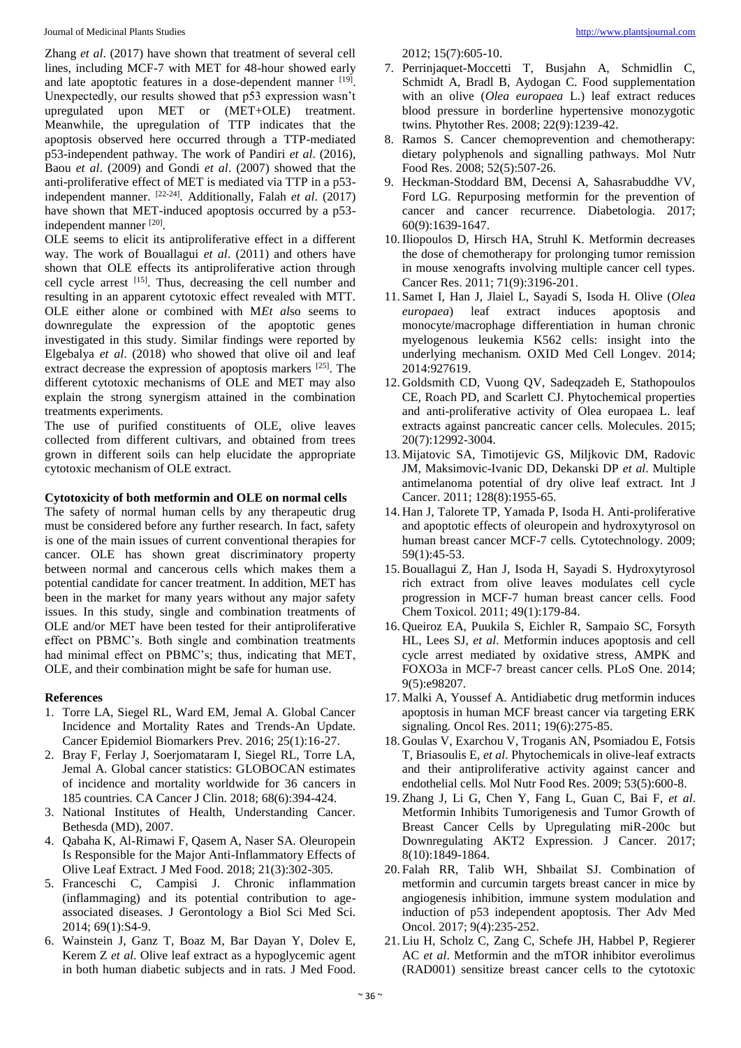Journal of Medicinal Plants Studies [http://www.plantsjournal.com](http://www.plantsjournal.com/)

Zhang *et al*. (2017) have shown that treatment of several cell lines, including MCF-7 with MET for 48-hour showed early and late apoptotic features in a dose-dependent manner [19]. Unexpectedly, our results showed that p53 expression wasn't upregulated upon MET or (MET+OLE) treatment. Meanwhile, the upregulation of TTP indicates that the apoptosis observed here occurred through a TTP-mediated p53-independent pathway. The work of Pandiri *et al*. (2016), Baou *et al*. (2009) and Gondi *et al*. (2007) showed that the anti-proliferative effect of MET is mediated via TTP in a p53 independent manner. [22-24]. Additionally, Falah *et al*. (2017) have shown that MET-induced apoptosis occurred by a p53 independent manner [20].

OLE seems to elicit its antiproliferative effect in a different way. The work of Bouallagui *et al*. (2011) and others have shown that OLE effects its antiproliferative action through cell cycle arrest [15]. Thus, decreasing the cell number and resulting in an apparent cytotoxic effect revealed with MTT. OLE either alone or combined with M*Et al*so seems to downregulate the expression of the apoptotic genes investigated in this study. Similar findings were reported by Elgebalya *et al*. (2018) who showed that olive oil and leaf extract decrease the expression of apoptosis markers [25]. The different cytotoxic mechanisms of OLE and MET may also explain the strong synergism attained in the combination treatments experiments.

The use of purified constituents of OLE, olive leaves collected from different cultivars, and obtained from trees grown in different soils can help elucidate the appropriate cytotoxic mechanism of OLE extract.

# **Cytotoxicity of both metformin and OLE on normal cells**

The safety of normal human cells by any therapeutic drug must be considered before any further research. In fact, safety is one of the main issues of current conventional therapies for cancer. OLE has shown great discriminatory property between normal and cancerous cells which makes them a potential candidate for cancer treatment. In addition, MET has been in the market for many years without any major safety issues. In this study, single and combination treatments of OLE and/or MET have been tested for their antiproliferative effect on PBMC's. Both single and combination treatments had minimal effect on PBMC's; thus, indicating that MET, OLE, and their combination might be safe for human use.

#### **References**

- 1. Torre LA, Siegel RL, Ward EM, Jemal A. Global Cancer Incidence and Mortality Rates and Trends-An Update*.* Cancer Epidemiol Biomarkers Prev. 2016; 25(1):16-27.
- 2. Bray F, Ferlay J, Soerjomataram I, Siegel RL, Torre LA, Jemal A. Global cancer statistics: GLOBOCAN estimates of incidence and mortality worldwide for 36 cancers in 185 countries*.* CA Cancer J Clin. 2018; 68(6):394-424.
- 3. National Institutes of Health, Understanding Cancer. Bethesda (MD), 2007.
- 4. Qabaha K, Al-Rimawi F, Qasem A, Naser SA. Oleuropein Is Responsible for the Major Anti-Inflammatory Effects of Olive Leaf Extract*.* J Med Food. 2018; 21(3):302-305.
- 5. Franceschi C, Campisi J. Chronic inflammation (inflammaging) and its potential contribution to ageassociated diseases*.* J Gerontology a Biol Sci Med Sci. 2014; 69(1):S4-9.
- 6. Wainstein J, Ganz T, Boaz M, Bar Dayan Y, Dolev E, Kerem Z *et al*. Olive leaf extract as a hypoglycemic agent in both human diabetic subjects and in rats*.* J Med Food.

2012; 15(7):605-10.

- 7. Perrinjaquet-Moccetti T, Busjahn A, Schmidlin C, Schmidt A, Bradl B, Aydogan C. Food supplementation with an olive (*Olea europaea* L.) leaf extract reduces blood pressure in borderline hypertensive monozygotic twins*.* Phytother Res. 2008; 22(9):1239-42.
- 8. Ramos S. Cancer chemoprevention and chemotherapy: dietary polyphenols and signalling pathways*.* Mol Nutr Food Res. 2008; 52(5):507-26.
- 9. Heckman-Stoddard BM, Decensi A, Sahasrabuddhe VV, Ford LG. Repurposing metformin for the prevention of cancer and cancer recurrence*.* Diabetologia. 2017; 60(9):1639-1647.
- 10.Iliopoulos D, Hirsch HA, Struhl K. Metformin decreases the dose of chemotherapy for prolonging tumor remission in mouse xenografts involving multiple cancer cell types*.* Cancer Res. 2011; 71(9):3196-201.
- 11. Samet I, Han J, Jlaiel L, Sayadi S, Isoda H. Olive (*Olea europaea*) leaf extract induces apoptosis and monocyte/macrophage differentiation in human chronic myelogenous leukemia K562 cells: insight into the underlying mechanism*.* OXID Med Cell Longev. 2014; 2014:927619.
- 12. Goldsmith CD, Vuong QV, Sadeqzadeh E, Stathopoulos CE, Roach PD, and Scarlett CJ. Phytochemical properties and anti-proliferative activity of Olea europaea L. leaf extracts against pancreatic cancer cells*.* Molecules. 2015; 20(7):12992-3004.
- 13. Mijatovic SA, Timotijevic GS, Miljkovic DM, Radovic JM, Maksimovic-Ivanic DD, Dekanski DP *et al*. Multiple antimelanoma potential of dry olive leaf extract*.* Int J Cancer. 2011; 128(8):1955-65.
- 14. Han J, Talorete TP, Yamada P, Isoda H. Anti-proliferative and apoptotic effects of oleuropein and hydroxytyrosol on human breast cancer MCF-7 cells. Cytotechnology. 2009; 59(1):45-53.
- 15.Bouallagui Z, Han J, Isoda H, Sayadi S. Hydroxytyrosol rich extract from olive leaves modulates cell cycle progression in MCF-7 human breast cancer cells*.* Food Chem Toxicol. 2011; 49(1):179-84.
- 16. Queiroz EA, Puukila S, Eichler R, Sampaio SC, Forsyth HL, Lees SJ, *et al*. Metformin induces apoptosis and cell cycle arrest mediated by oxidative stress, AMPK and FOXO3a in MCF-7 breast cancer cells*.* PLoS One. 2014; 9(5):e98207.
- 17. Malki A, Youssef A. Antidiabetic drug metformin induces apoptosis in human MCF breast cancer via targeting ERK signaling*.* Oncol Res. 2011; 19(6):275-85.
- 18. Goulas V, Exarchou V, Troganis AN, Psomiadou E, Fotsis T, Briasoulis E, *et al*. Phytochemicals in olive-leaf extracts and their antiproliferative activity against cancer and endothelial cells*.* Mol Nutr Food Res. 2009; 53(5):600-8.
- 19. Zhang J, Li G, Chen Y, Fang L, Guan C, Bai F, *et al*. Metformin Inhibits Tumorigenesis and Tumor Growth of Breast Cancer Cells by Upregulating miR-200c but Downregulating AKT2 Expression*.* J Cancer. 2017; 8(10):1849-1864.
- 20. Falah RR, Talib WH, Shbailat SJ. Combination of metformin and curcumin targets breast cancer in mice by angiogenesis inhibition, immune system modulation and induction of p53 independent apoptosis*.* Ther Adv Med Oncol. 2017; 9(4):235-252.
- 21. Liu H, Scholz C, Zang C, Schefe JH, Habbel P, Regierer AC *et al*. Metformin and the mTOR inhibitor everolimus (RAD001) sensitize breast cancer cells to the cytotoxic